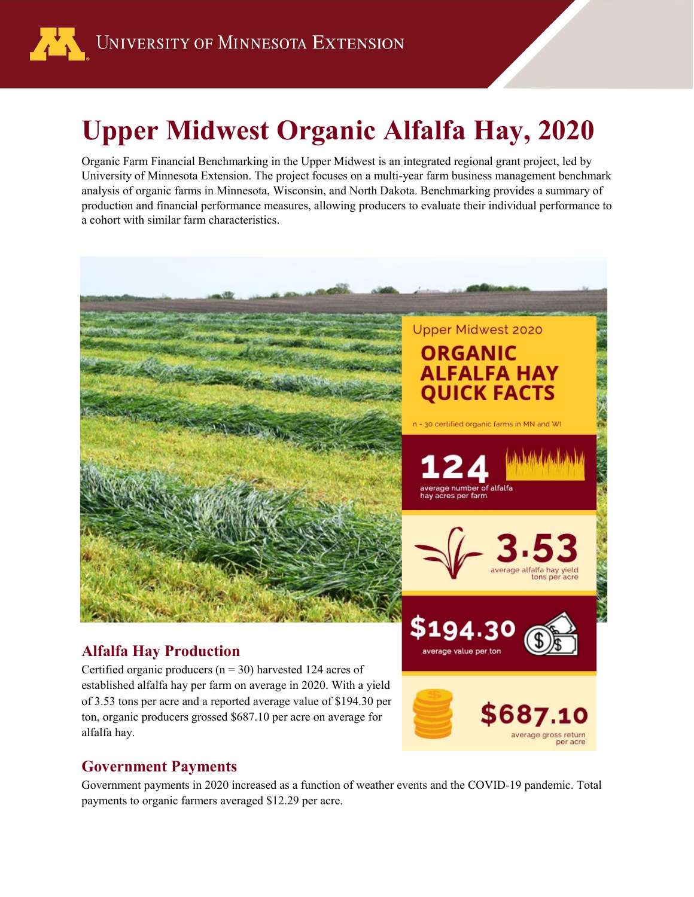

# **Upper Midwest Organic Alfalfa Hay, 2020**

Organic Farm Financial Benchmarking in the Upper Midwest is an integrated regional grant project, led by University of Minnesota Extension. The project focuses on a multi-year farm business management benchmark analysis of organic farms in Minnesota, Wisconsin, and North Dakota. Benchmarking provides a summary of production and financial performance measures, allowing producers to evaluate their individual performance to a cohort with similar farm characteristics.



of 3.53 tons per acre and a reported average value of \$194.30 per ton, organic producers grossed \$687.10 per acre on average for alfalfa hay.

#### **Government Payments**

Government payments in 2020 increased as a function of weather events and the COVID-19 pandemic. Total payments to organic farmers averaged \$12.29 per acre.

average gross return per acre